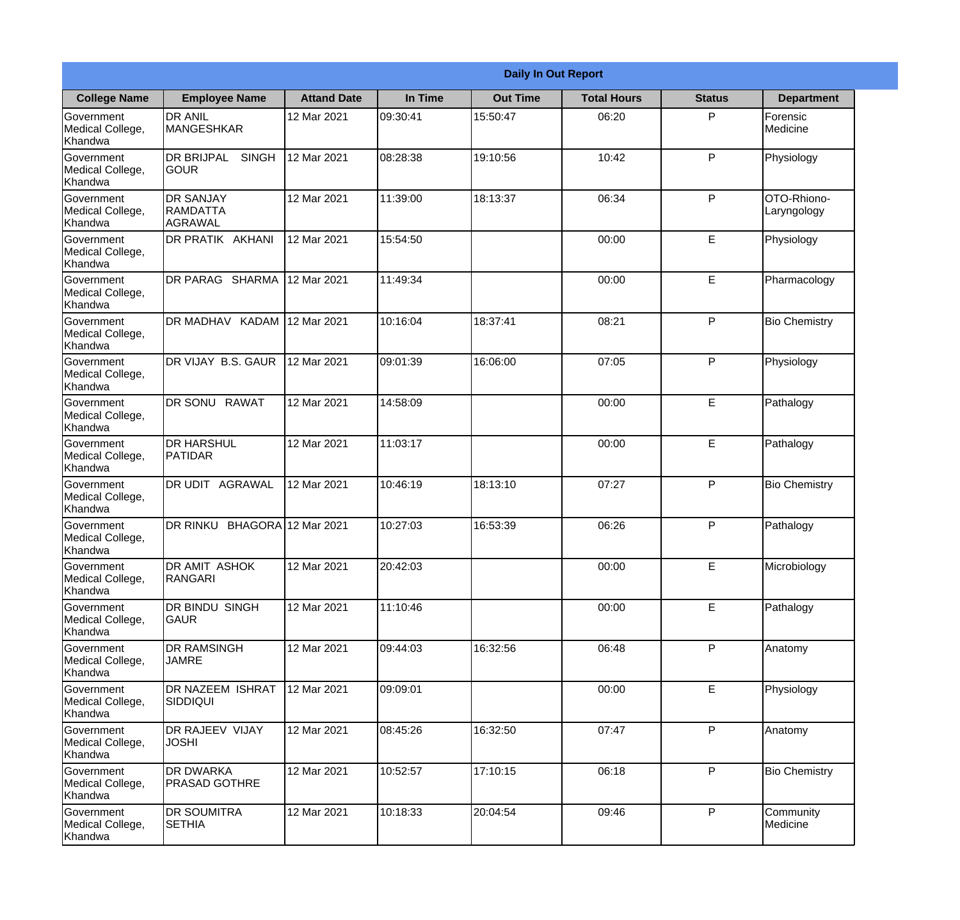|                                                  |                                                        |                     |          | <b>Daily In Out Report</b> |                    |               |                            |
|--------------------------------------------------|--------------------------------------------------------|---------------------|----------|----------------------------|--------------------|---------------|----------------------------|
| <b>College Name</b>                              | <b>Employee Name</b>                                   | <b>Attand Date</b>  | In Time  | <b>Out Time</b>            | <b>Total Hours</b> | <b>Status</b> | <b>Department</b>          |
| Government<br>Medical College,<br>Khandwa        | <b>DR ANIL</b><br>MANGESHKAR                           | 12 Mar 2021         | 09:30:41 | 15:50:47                   | 06:20              | P             | Forensic<br>Medicine       |
| Government<br>Medical College,<br>Khandwa        | <b>DR BRIJPAL</b><br><b>SINGH</b><br> GOUR             | 12 Mar 2021         | 08:28:38 | 19:10:56                   | 10:42              | P             | Physiology                 |
| <b>Government</b><br>Medical College,<br>Khandwa | <b>IDR SANJAY</b><br><b>RAMDATTA</b><br><b>AGRAWAL</b> | 12 Mar 2021         | 11:39:00 | 18:13:37                   | 06:34              | P             | OTO-Rhiono-<br>Laryngology |
| Government<br>Medical College,<br>Khandwa        | <b>DR PRATIK AKHANI</b>                                | 12 Mar 2021         | 15:54:50 |                            | 00:00              | E             | Physiology                 |
| Government<br>Medical College,<br>Khandwa        | <b>DR PARAG SHARMA</b>                                 | 12 Mar 2021         | 11:49:34 |                            | 00:00              | E             | Pharmacology               |
| Government<br>Medical College,<br>Khandwa        | DR MADHAV KADAM                                        | 12 Mar 2021         | 10:16:04 | 18:37:41                   | 08:21              | P             | <b>Bio Chemistry</b>       |
| Government<br>Medical College,<br>Khandwa        | DR VIJAY B.S. GAUR                                     | 12 Mar 2021         | 09:01:39 | 16:06:00                   | 07:05              | P             | Physiology                 |
| Government<br>Medical College,<br>Khandwa        | DR SONU RAWAT                                          | 12 Mar 2021         | 14:58:09 |                            | 00:00              | E             | Pathalogy                  |
| Government<br>Medical College,<br>Khandwa        | <b>DR HARSHUL</b><br>PATIDAR                           | 12 Mar 2021         | 11:03:17 |                            | 00:00              | E             | Pathalogy                  |
| Government<br>Medical College,<br>Khandwa        | DR UDIT<br><b>AGRAWAL</b>                              | 12 Mar 2021         | 10:46:19 | 18:13:10                   | 07:27              | P             | <b>Bio Chemistry</b>       |
| Government<br>Medical College,<br>Khandwa        | <b>DR RINKU</b>                                        | BHAGORA 12 Mar 2021 | 10:27:03 | 16:53:39                   | 06:26              | $\mathsf{P}$  | Pathalogy                  |
| Government<br>Medical College,<br>Khandwa        | <b>DR AMIT ASHOK</b><br>RANGARI                        | 12 Mar 2021         | 20:42:03 |                            | 00:00              | E             | Microbiology               |
| Government<br>Medical College,<br>Khandwa        | DR BINDU SINGH<br><b>GAUR</b>                          | 12 Mar 2021         | 11:10:46 |                            | 00:00              | E             | Pathalogy                  |
| Government<br>Medical College,<br>Khandwa        | <b>DR RAMSINGH</b><br><b>JAMRE</b>                     | 12 Mar 2021         | 09:44:03 | 16:32:56                   | 06:48              | P             | Anatomy                    |
| Government<br>Medical College,<br>Khandwa        | <b>DR NAZEEM ISHRAT</b><br>SIDDIQUI                    | 12 Mar 2021         | 09:09:01 |                            | 00:00              | E             | Physiology                 |
| Government<br>Medical College,<br>Khandwa        | <b>DR RAJEEV VIJAY</b><br><b>JOSHI</b>                 | 12 Mar 2021         | 08:45:26 | 16:32:50                   | 07:47              | P             | Anatomy                    |
| Government<br>Medical College,<br>Khandwa        | <b>DR DWARKA</b><br><b>PRASAD GOTHRE</b>               | 12 Mar 2021         | 10:52:57 | 17:10:15                   | 06:18              | P             | <b>Bio Chemistry</b>       |
| Government<br>Medical College,<br>Khandwa        | <b>DR SOUMITRA</b><br><b>SETHIA</b>                    | 12 Mar 2021         | 10:18:33 | 20:04:54                   | 09:46              | P             | Community<br>Medicine      |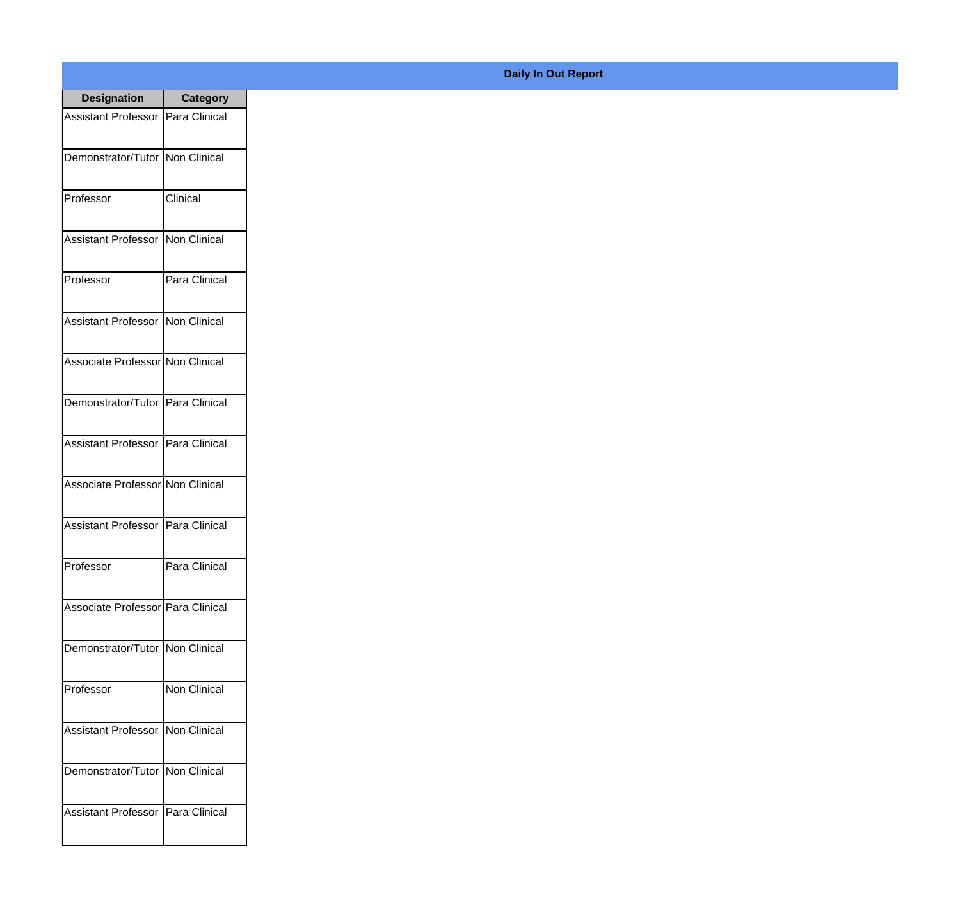| <b>Designation</b>                  | <b>Category</b>     |
|-------------------------------------|---------------------|
| Assistant Professor   Para Clinical |                     |
| Demonstrator/Tutor   Non Clinical   |                     |
| Professor                           | Clinical            |
| <b>Assistant Professor</b>          | Non Clinical        |
| Professor                           | Para Clinical       |
| <b>Assistant Professor</b>          | Non Clinical        |
| Associate Professor Non Clinical    |                     |
| Demonstrator/Tutor   Para Clinical  |                     |
| Assistant Professor   Para Clinical |                     |
| Associate Professor Non Clinical    |                     |
| <b>Assistant Professor</b>          | Para Clinical       |
| Professor                           | Para Clinical       |
| Associate Professor   Para Clinical |                     |
| Demonstrator/Tutor   Non Clinical   |                     |
| Professor                           | <b>Non Clinical</b> |
| <b>Assistant Professor</b>          | Non Clinical        |
| Demonstrator/Tutor                  | Non Clinical        |
| <b>Assistant Professor</b>          | Para Clinical       |

## **Daily In Out Report**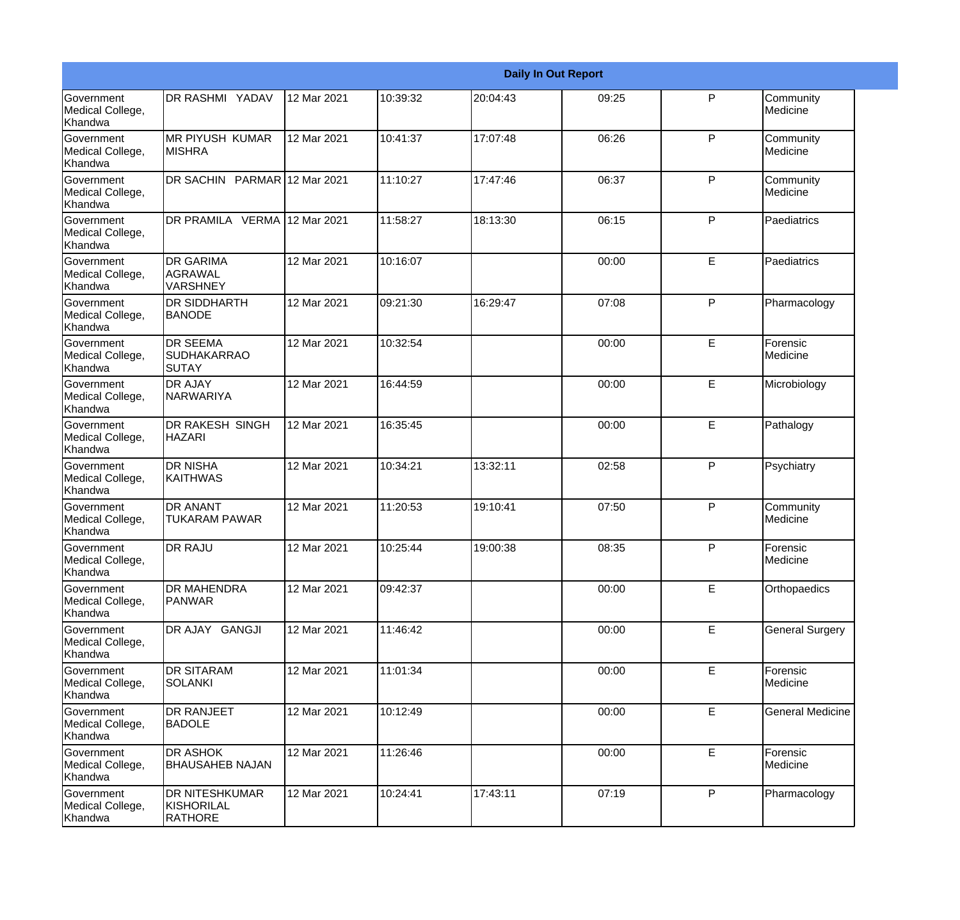|                                                         |                                                       |             |          |          | <b>Daily In Out Report</b> |              |                         |
|---------------------------------------------------------|-------------------------------------------------------|-------------|----------|----------|----------------------------|--------------|-------------------------|
| Government<br>Medical College,<br>Khandwa               | <b>DR RASHMI YADAV</b>                                | 12 Mar 2021 | 10:39:32 | 20:04:43 | 09:25                      | P            | Community<br>Medicine   |
| <b>Government</b><br>Medical College,<br>Khandwa        | <b>MR PIYUSH KUMAR</b><br>IMISHRA                     | 12 Mar 2021 | 10:41:37 | 17:07:48 | 06:26                      | P            | Community<br>Medicine   |
| <b>Government</b><br>Medical College,<br>Khandwa        | DR SACHIN PARMAR 12 Mar 2021                          |             | 11:10:27 | 17:47:46 | 06:37                      | P            | Community<br>Medicine   |
| <b>Government</b><br>Medical College,<br>Khandwa        | DR PRAMILA VERMA 12 Mar 2021                          |             | 11:58:27 | 18:13:30 | 06:15                      | P            | Paediatrics             |
| <b>Government</b><br>Medical College,<br>Khandwa        | <b>DR GARIMA</b><br><b>AGRAWAL</b><br><b>VARSHNEY</b> | 12 Mar 2021 | 10:16:07 |          | 00:00                      | E            | Paediatrics             |
| Government<br>Medical College,<br><b>Khandwa</b>        | <b>DR SIDDHARTH</b><br><b>BANODE</b>                  | 12 Mar 2021 | 09:21:30 | 16:29:47 | 07:08                      | P            | Pharmacology            |
| Government<br>Medical College,<br>Khandwa               | <b>DR SEEMA</b><br>SUDHAKARRAO<br><b>SUTAY</b>        | 12 Mar 2021 | 10:32:54 |          | 00:00                      | E            | Forensic<br>Medicine    |
| Government<br>Medical College,<br>Khandwa               | <b>DR AJAY</b><br>NARWARIYA                           | 12 Mar 2021 | 16:44:59 |          | 00:00                      | E            | Microbiology            |
| Government<br>Medical College,<br>Khandwa               | <b>DR RAKESH SINGH</b><br><b>HAZARI</b>               | 12 Mar 2021 | 16:35:45 |          | 00:00                      | E            | Pathalogy               |
| <b>Government</b><br>Medical College,<br><b>Khandwa</b> | <b>DR NISHA</b><br> KAITHWAS                          | 12 Mar 2021 | 10:34:21 | 13:32:11 | 02:58                      | P            | Psychiatry              |
| <b>Government</b><br>Medical College,<br>Khandwa        | <b>DR ANANT</b><br><b>TUKARAM PAWAR</b>               | 12 Mar 2021 | 11:20:53 | 19:10:41 | 07:50                      | P            | Community<br>Medicine   |
| Government<br>Medical College,<br>Khandwa               | <b>DR RAJU</b>                                        | 12 Mar 2021 | 10:25:44 | 19:00:38 | 08:35                      | P            | Forensic<br>Medicine    |
| Government<br>Medical College,<br>Khandwa               | <b>DR MAHENDRA</b><br>PANWAR                          | 12 Mar 2021 | 09:42:37 |          | 00:00                      | E            | Orthopaedics            |
| Government<br>Medical College,<br>Khandwa               | DR AJAY GANGJI                                        | 12 Mar 2021 | 11:46:42 |          | 00:00                      | E            | <b>General Surgery</b>  |
| Government<br>Medical College,<br>Khandwa               | <b>DR SITARAM</b><br><b>SOLANKI</b>                   | 12 Mar 2021 | 11:01:34 |          | 00:00                      | E            | Forensic<br>Medicine    |
| Government<br>Medical College,<br>Khandwa               | <b>DR RANJEET</b><br><b>BADOLE</b>                    | 12 Mar 2021 | 10:12:49 |          | 00:00                      | E            | <b>General Medicine</b> |
| Government<br>Medical College,<br>Khandwa               | <b>DR ASHOK</b><br><b>BHAUSAHEB NAJAN</b>             | 12 Mar 2021 | 11:26:46 |          | 00:00                      | $\mathsf E$  | Forensic<br>Medicine    |
| Government<br>Medical College,<br>Khandwa               | <b>DR NITESHKUMAR</b><br>KISHORILAL<br><b>RATHORE</b> | 12 Mar 2021 | 10:24:41 | 17:43:11 | 07:19                      | $\mathsf{P}$ | Pharmacology            |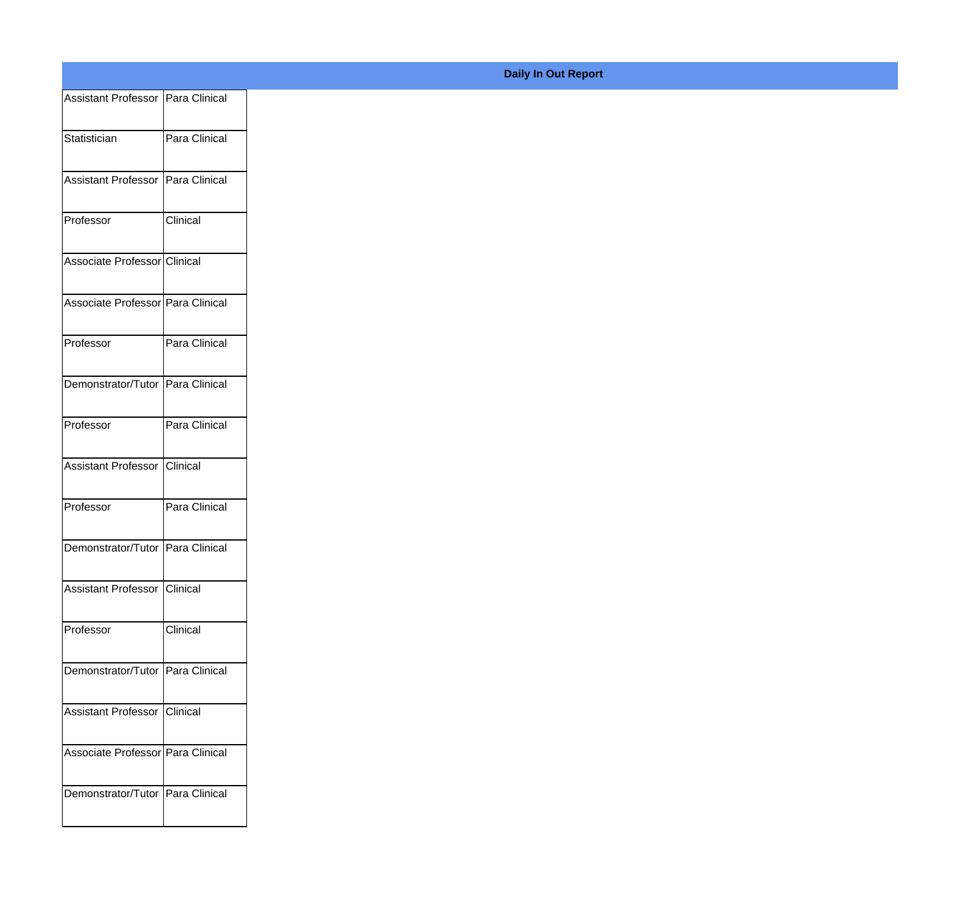| Assistant Professor   Para Clinical |               |
|-------------------------------------|---------------|
|                                     |               |
| Statistician                        | Para Clinical |
| Assistant Professor   Para Clinical |               |
|                                     |               |
| Professor                           | Clinical      |
| Associate Professor Clinical        |               |
| Associate Professor Para Clinical   |               |
|                                     |               |
| Professor                           | Para Clinical |
| Demonstrator/Tutor Para Clinical    |               |
|                                     |               |
| Professor                           | Para Clinical |
| Assistant Professor   Clinical      |               |
|                                     |               |
| Professor                           | Para Clinical |
| Demonstrator/Tutor Para Clinical    |               |
|                                     |               |
| Assistant Professor Clinical        |               |
| Professor                           | Clinical      |
|                                     |               |
| Demonstrator/Tutor   Para Clinical  |               |
| Assistant Professor Clinical        |               |
|                                     |               |
| Associate Professor Para Clinical   |               |
| Demonstrator/Tutor   Para Clinical  |               |
|                                     |               |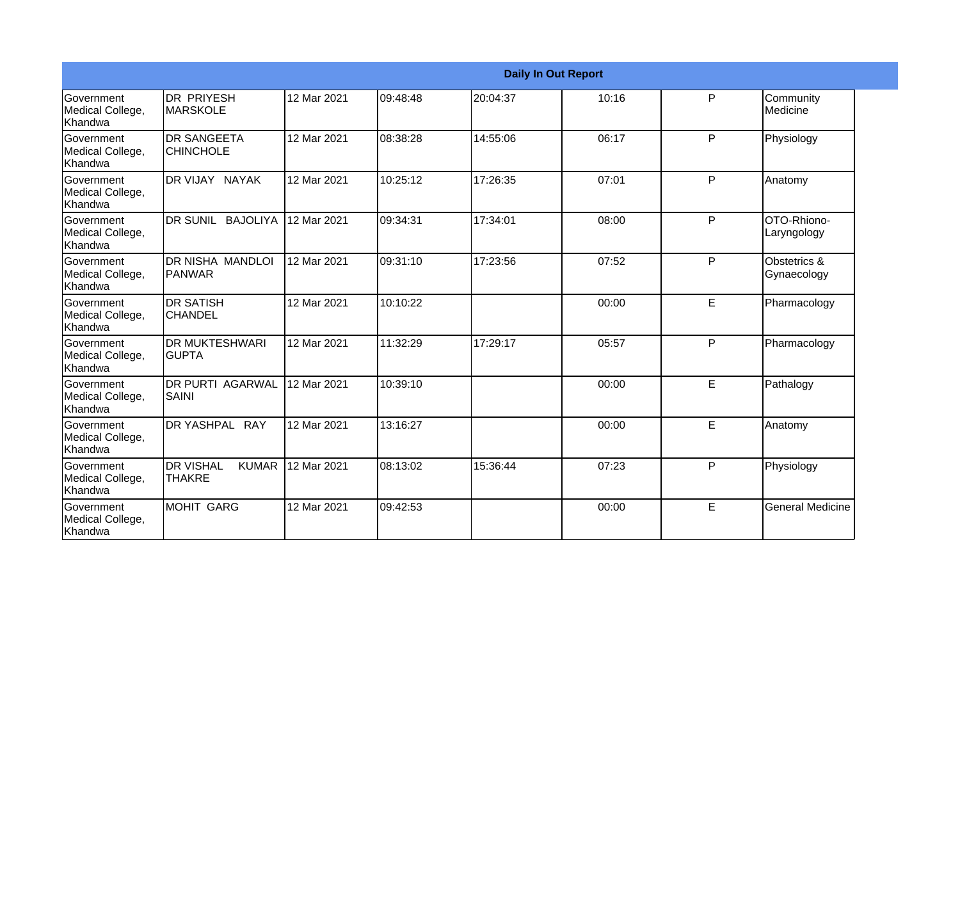|                                                         |                                                     |             |          |          | <b>Daily In Out Report</b> |   |                             |
|---------------------------------------------------------|-----------------------------------------------------|-------------|----------|----------|----------------------------|---|-----------------------------|
| Government<br>Medical College,<br>Khandwa               | IDR PRIYESH<br><b>IMARSKOLE</b>                     | 12 Mar 2021 | 09:48:48 | 20:04:37 | 10:16                      | P | Community<br>Medicine       |
| <b>Government</b><br>Medical College,<br><b>Khandwa</b> | <b>I</b> DR SANGEETA<br><b>CHINCHOLE</b>            | 12 Mar 2021 | 08:38:28 | 14:55:06 | 06:17                      | P | Physiology                  |
| <b>Government</b><br>Medical College,<br>Khandwa        | DR VIJAY NAYAK                                      | 12 Mar 2021 | 10:25:12 | 17:26:35 | 07:01                      | P | Anatomy                     |
| <b>Government</b><br>Medical College,<br>Khandwa        | DR SUNIL BAJOLIYA                                   | 12 Mar 2021 | 09:34:31 | 17:34:01 | 08:00                      | P | OTO-Rhiono-<br>Laryngology  |
| <b>Government</b><br>Medical College,<br>Khandwa        | DR NISHA MANDLOI<br><b>PANWAR</b>                   | 12 Mar 2021 | 09:31:10 | 17:23:56 | 07:52                      | P | Obstetrics &<br>Gynaecology |
| Government<br>Medical College,<br>Khandwa               | IDR SATISH<br>ICHANDEL                              | 12 Mar 2021 | 10:10:22 |          | 00:00                      | E | Pharmacology                |
| <b>Government</b><br>Medical College,<br>Khandwa        | IDR MUKTESHWARI<br><b>GUPTA</b>                     | 12 Mar 2021 | 11:32:29 | 17:29:17 | 05:57                      | P | Pharmacology                |
| <b>Government</b><br>Medical College,<br><b>Khandwa</b> | IDR PURTI AGARWAL<br>SAINI                          | 12 Mar 2021 | 10:39:10 |          | 00:00                      | E | Pathalogy                   |
| Government<br>Medical College,<br><b>Khandwa</b>        | DR YASHPAL RAY                                      | 12 Mar 2021 | 13:16:27 |          | 00:00                      | E | Anatomy                     |
| <b>Government</b><br>Medical College,<br>Khandwa        | <b>I</b> DR VISHAL<br><b>KUMAR</b><br><b>THAKRE</b> | 12 Mar 2021 | 08:13:02 | 15:36:44 | 07:23                      | P | Physiology                  |
| <b>Government</b><br>Medical College,<br>Khandwa        | IMOHIT GARG                                         | 12 Mar 2021 | 09:42:53 |          | 00:00                      | E | <b>General Medicine</b>     |